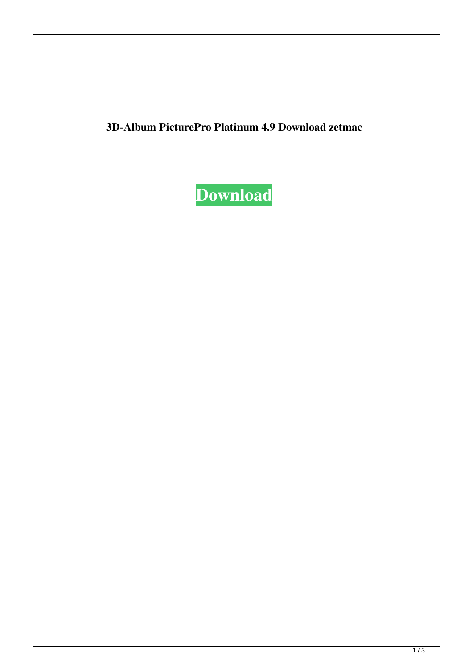**3D-Album PicturePro Platinum 4.9 Download zetmac**

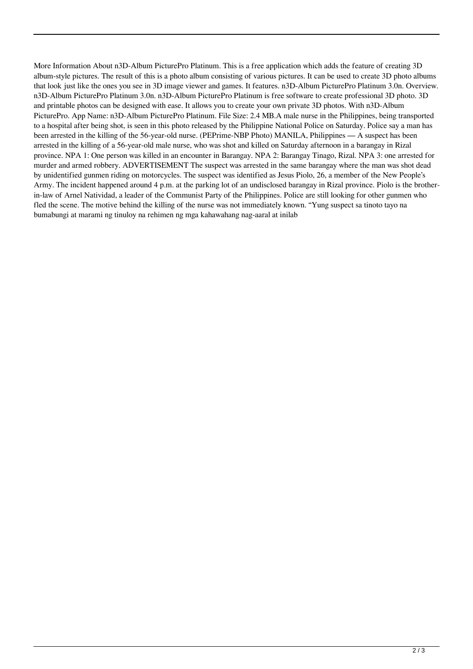More Information About n3D-Album PicturePro Platinum. This is a free application which adds the feature of creating 3D album-style pictures. The result of this is a photo album consisting of various pictures. It can be used to create 3D photo albums that look just like the ones you see in 3D image viewer and games. It features. n3D-Album PicturePro Platinum 3.0n. Overview. n3D-Album PicturePro Platinum 3.0n. n3D-Album PicturePro Platinum is free software to create professional 3D photo. 3D and printable photos can be designed with ease. It allows you to create your own private 3D photos. With n3D-Album PicturePro. App Name: n3D-Album PicturePro Platinum. File Size: 2.4 MB.A male nurse in the Philippines, being transported to a hospital after being shot, is seen in this photo released by the Philippine National Police on Saturday. Police say a man has been arrested in the killing of the 56-year-old nurse. (PEPrime-NBP Photo) MANILA, Philippines — A suspect has been arrested in the killing of a 56-year-old male nurse, who was shot and killed on Saturday afternoon in a barangay in Rizal province. NPA 1: One person was killed in an encounter in Barangay. NPA 2: Barangay Tinago, Rizal. NPA 3: one arrested for murder and armed robbery. ADVERTISEMENT The suspect was arrested in the same barangay where the man was shot dead by unidentified gunmen riding on motorcycles. The suspect was identified as Jesus Piolo, 26, a member of the New People's Army. The incident happened around 4 p.m. at the parking lot of an undisclosed barangay in Rizal province. Piolo is the brotherin-law of Arnel Natividad, a leader of the Communist Party of the Philippines. Police are still looking for other gunmen who fled the scene. The motive behind the killing of the nurse was not immediately known. "Yung suspect sa tinoto tayo na bumabungi at marami ng tinuloy na rehimen ng mga kahawahang nag-aaral at inilab